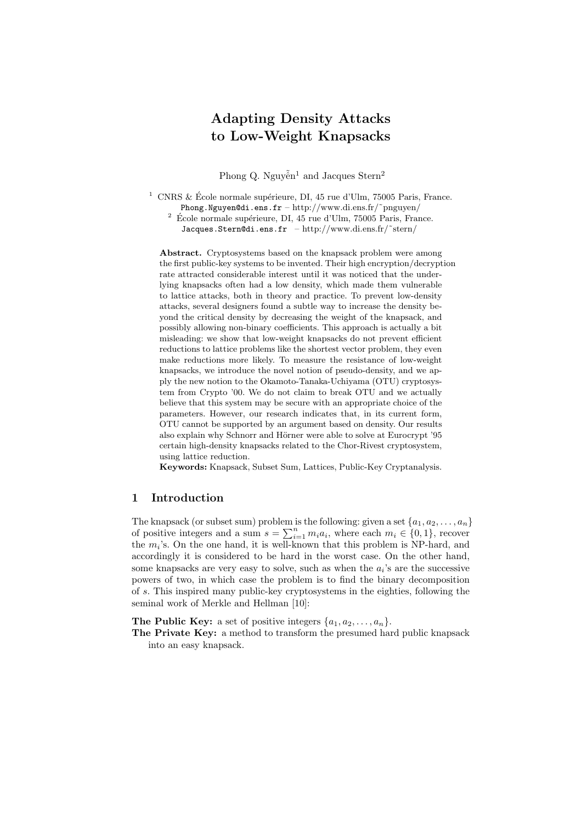# Adapting Density Attacks to Low-Weight Knapsacks

Phong Q. Nguyễn<sup>1</sup> and Jacques Stern<sup>2</sup>

 $^1\,$  CNRS & École normale supérieure, DI, 45 rue d'Ulm, 75005 Paris, France. Phong.Nguyen@di.ens.fr – http://www.di.ens.fr/˜pnguyen/  $^2\,$  École normale supérieure, DI, 45 rue d'Ulm, 75005 Paris, France. Jacques.Stern@di.ens.fr - http://www.di.ens.fr/~stern/

Abstract. Cryptosystems based on the knapsack problem were among the first public-key systems to be invented. Their high encryption/decryption rate attracted considerable interest until it was noticed that the underlying knapsacks often had a low density, which made them vulnerable to lattice attacks, both in theory and practice. To prevent low-density attacks, several designers found a subtle way to increase the density beyond the critical density by decreasing the weight of the knapsack, and possibly allowing non-binary coefficients. This approach is actually a bit misleading: we show that low-weight knapsacks do not prevent efficient reductions to lattice problems like the shortest vector problem, they even make reductions more likely. To measure the resistance of low-weight knapsacks, we introduce the novel notion of pseudo-density, and we apply the new notion to the Okamoto-Tanaka-Uchiyama (OTU) cryptosystem from Crypto '00. We do not claim to break OTU and we actually believe that this system may be secure with an appropriate choice of the parameters. However, our research indicates that, in its current form, OTU cannot be supported by an argument based on density. Our results also explain why Schnorr and Hörner were able to solve at Eurocrypt '95 certain high-density knapsacks related to the Chor-Rivest cryptosystem, using lattice reduction.

Keywords: Knapsack, Subset Sum, Lattices, Public-Key Cryptanalysis.

# 1 Introduction

The knapsack (or subset sum) problem is the following: given a set  $\{a_1, a_2, \ldots, a_n\}$ of positive integers and a sum  $s = \sum_{i=1}^{n} m_i a_i$ , where each  $m_i \in \{0, 1\}$ , recover the  $m_i$ 's. On the one hand, it is well-known that this problem is NP-hard, and accordingly it is considered to be hard in the worst case. On the other hand, some knapsacks are very easy to solve, such as when the  $a_i$ 's are the successive powers of two, in which case the problem is to find the binary decomposition of s. This inspired many public-key cryptosystems in the eighties, following the seminal work of Merkle and Hellman [10]:

**The Public Key:** a set of positive integers  $\{a_1, a_2, \ldots, a_n\}$ .

The Private Key: a method to transform the presumed hard public knapsack into an easy knapsack.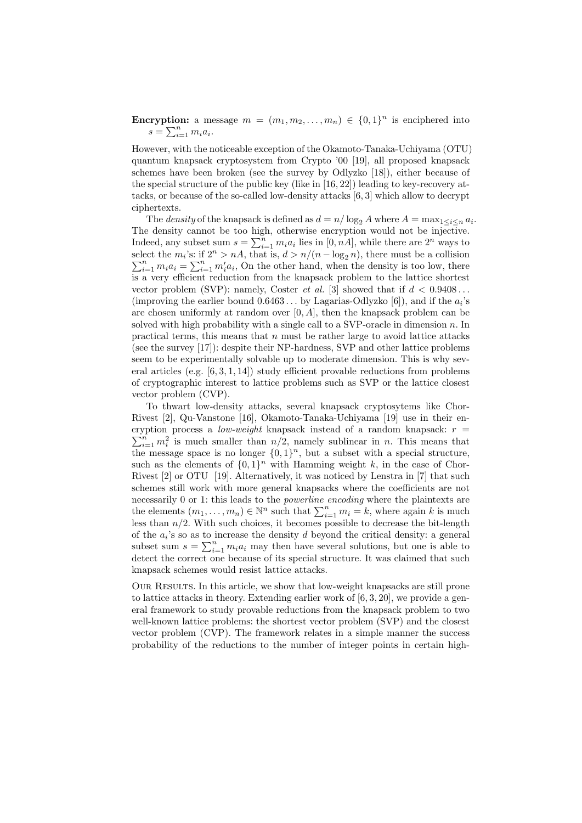**Encryption:** a message  $m = (m_1, m_2, \ldots, m_n) \in \{0, 1\}^n$  is enciphered into  $s = \sum_{i=1}^n m_i a_i.$ 

However, with the noticeable exception of the Okamoto-Tanaka-Uchiyama (OTU) quantum knapsack cryptosystem from Crypto '00 [19], all proposed knapsack schemes have been broken (see the survey by Odlyzko [18]), either because of the special structure of the public key (like in [16, 22]) leading to key-recovery attacks, or because of the so-called low-density attacks [6, 3] which allow to decrypt ciphertexts.

The *density* of the knapsack is defined as  $d = n/\log_2 A$  where  $A = \max_{1 \leq i \leq n} a_i$ . The density cannot be too high, otherwise encryption would not be injective. Indeed, any subset sum  $s = \sum_{i=1}^{n} m_i a_i$  lies in  $[0, nA]$ , while there are  $2^n$  ways to select the  $m_i$ 's: if  $2^n > nA$ , that is,  $d > n/(n - \log_2 n)$ , there must be a collision  $\sum_{i=1}^{n} m_i a_i = \sum_{i=1}^{n} m_i' a_i$ , On the other hand, when the density is too low, there is a very efficient reduction from the knapsack problem to the lattice shortest vector problem (SVP): namely, Coster *et al.* [3] showed that if  $d < 0.9408...$ (improving the earlier bound  $0.6463...$  by Lagarias-Odlyzko [6]), and if the  $a_i$ 's are chosen uniformly at random over  $[0, A]$ , then the knapsack problem can be solved with high probability with a single call to a SVP-oracle in dimension  $n$ . In practical terms, this means that  $n$  must be rather large to avoid lattice attacks (see the survey [17]): despite their NP-hardness, SVP and other lattice problems seem to be experimentally solvable up to moderate dimension. This is why several articles (e.g. [6, 3, 1, 14]) study efficient provable reductions from problems of cryptographic interest to lattice problems such as SVP or the lattice closest vector problem (CVP).

To thwart low-density attacks, several knapsack cryptosytems like Chor-Rivest [2], Qu-Vanstone [16], Okamoto-Tanaka-Uchiyama [19] use in their en- $\sum_{i=1}^{n} m_i^2$  is much smaller than  $n/2$ , namely sublinear in n. This means that cryption process a *low-weight* knapsack instead of a random knapsack:  $r =$ the message space is no longer  $\{0,1\}^n$ , but a subset with a special structure, such as the elements of  $\{0,1\}^n$  with Hamming weight k, in the case of Chor-Rivest [2] or OTU [19]. Alternatively, it was noticed by Lenstra in [7] that such schemes still work with more general knapsacks where the coefficients are not necessarily 0 or 1: this leads to the *powerline encoding* where the plaintexts are the elements  $(m_1, \ldots, m_n) \in \mathbb{N}^n$  such that  $\sum_{i=1}^n m_i = k$ , where again k is much less than  $n/2$ . With such choices, it becomes possible to decrease the bit-length of the  $a_i$ 's so as to increase the density d beyond the critical density: a general subset sum  $s = \sum_{i=1}^{n} m_i a_i$  may then have several solutions, but one is able to detect the correct one because of its special structure. It was claimed that such knapsack schemes would resist lattice attacks.

Our Results. In this article, we show that low-weight knapsacks are still prone to lattice attacks in theory. Extending earlier work of [6, 3, 20], we provide a general framework to study provable reductions from the knapsack problem to two well-known lattice problems: the shortest vector problem (SVP) and the closest vector problem (CVP). The framework relates in a simple manner the success probability of the reductions to the number of integer points in certain high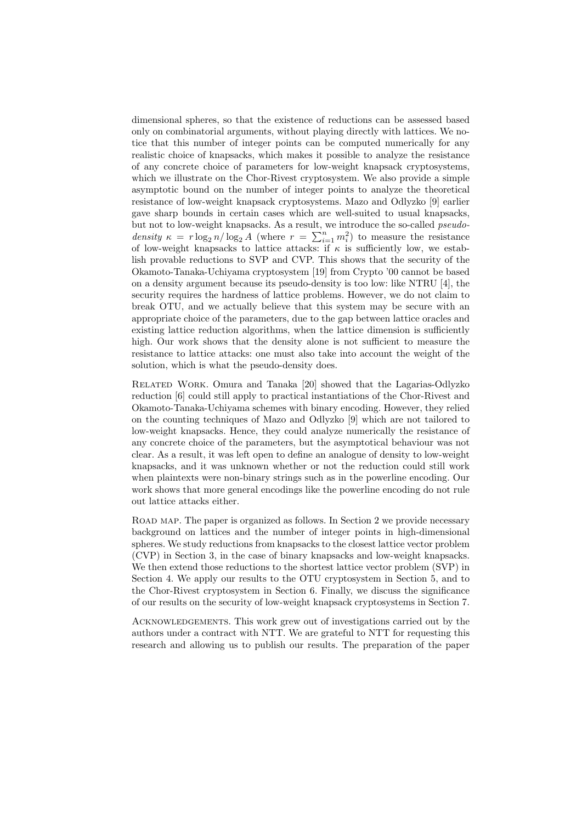dimensional spheres, so that the existence of reductions can be assessed based only on combinatorial arguments, without playing directly with lattices. We notice that this number of integer points can be computed numerically for any realistic choice of knapsacks, which makes it possible to analyze the resistance of any concrete choice of parameters for low-weight knapsack cryptosystems, which we illustrate on the Chor-Rivest cryptosystem. We also provide a simple asymptotic bound on the number of integer points to analyze the theoretical resistance of low-weight knapsack cryptosystems. Mazo and Odlyzko [9] earlier gave sharp bounds in certain cases which are well-suited to usual knapsacks, but not to low-weight knapsacks. As a result, we introduce the so-called *pseudo*density  $\kappa = r \log_2 n / \log_2 A$  (where  $r = \sum_{i=1}^n m_i^2$ ) to measure the resistance of low-weight knapsacks to lattice attacks: if  $\kappa$  is sufficiently low, we establish provable reductions to SVP and CVP. This shows that the security of the Okamoto-Tanaka-Uchiyama cryptosystem [19] from Crypto '00 cannot be based on a density argument because its pseudo-density is too low: like NTRU [4], the security requires the hardness of lattice problems. However, we do not claim to break OTU, and we actually believe that this system may be secure with an appropriate choice of the parameters, due to the gap between lattice oracles and existing lattice reduction algorithms, when the lattice dimension is sufficiently high. Our work shows that the density alone is not sufficient to measure the resistance to lattice attacks: one must also take into account the weight of the solution, which is what the pseudo-density does.

Related Work. Omura and Tanaka [20] showed that the Lagarias-Odlyzko reduction [6] could still apply to practical instantiations of the Chor-Rivest and Okamoto-Tanaka-Uchiyama schemes with binary encoding. However, they relied on the counting techniques of Mazo and Odlyzko [9] which are not tailored to low-weight knapsacks. Hence, they could analyze numerically the resistance of any concrete choice of the parameters, but the asymptotical behaviour was not clear. As a result, it was left open to define an analogue of density to low-weight knapsacks, and it was unknown whether or not the reduction could still work when plaintexts were non-binary strings such as in the powerline encoding. Our work shows that more general encodings like the powerline encoding do not rule out lattice attacks either.

ROAD MAP. The paper is organized as follows. In Section 2 we provide necessary background on lattices and the number of integer points in high-dimensional spheres. We study reductions from knapsacks to the closest lattice vector problem (CVP) in Section 3, in the case of binary knapsacks and low-weight knapsacks. We then extend those reductions to the shortest lattice vector problem (SVP) in Section 4. We apply our results to the OTU cryptosystem in Section 5, and to the Chor-Rivest cryptosystem in Section 6. Finally, we discuss the significance of our results on the security of low-weight knapsack cryptosystems in Section 7.

Acknowledgements. This work grew out of investigations carried out by the authors under a contract with NTT. We are grateful to NTT for requesting this research and allowing us to publish our results. The preparation of the paper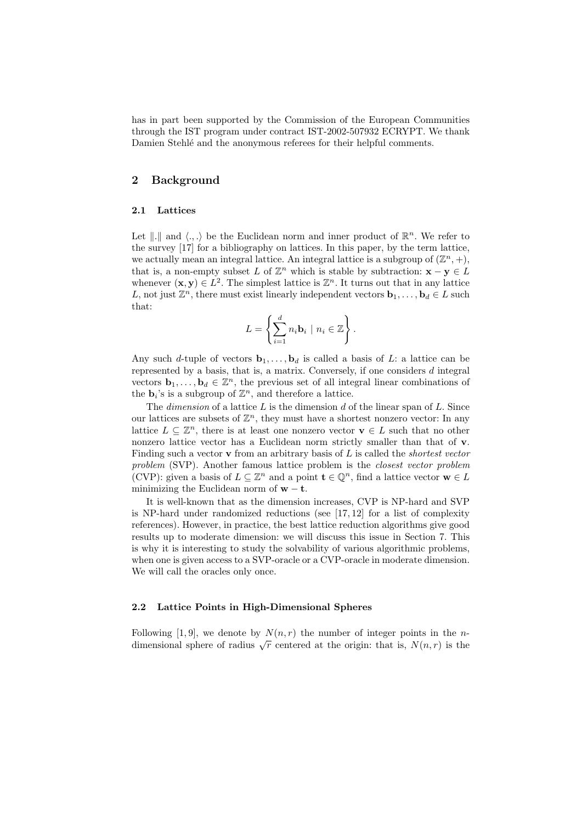has in part been supported by the Commission of the European Communities through the IST program under contract IST-2002-507932 ECRYPT. We thank Damien Stehlé and the anonymous referees for their helpful comments.

# 2 Background

# 2.1 Lattices

Let  $\| \cdot \|$  and  $\langle \cdot, \cdot \rangle$  be the Euclidean norm and inner product of  $\mathbb{R}^n$ . We refer to the survey [17] for a bibliography on lattices. In this paper, by the term lattice, we actually mean an integral lattice. An integral lattice is a subgroup of  $(\mathbb{Z}^n, +)$ , that is, a non-empty subset L of  $\mathbb{Z}^n$  which is stable by subtraction:  $\mathbf{x} - \mathbf{y} \in L$ whenever  $(\mathbf{x}, \mathbf{y}) \in L^2$ . The simplest lattice is  $\mathbb{Z}^n$ . It turns out that in any lattice L, not just  $\mathbb{Z}^n$ , there must exist linearly independent vectors  $\mathbf{b}_1, \ldots, \mathbf{b}_d \in L$  such that:

$$
L = \left\{ \sum_{i=1}^d n_i \mathbf{b}_i \mid n_i \in \mathbb{Z} \right\}.
$$

Any such d-tuple of vectors  $\mathbf{b}_1, \ldots, \mathbf{b}_d$  is called a basis of L: a lattice can be represented by a basis, that is, a matrix. Conversely, if one considers  $d$  integral vectors  $\mathbf{b}_1, \ldots, \mathbf{b}_d \in \mathbb{Z}^n$ , the previous set of all integral linear combinations of the  $\mathbf{b}_i$ 's is a subgroup of  $\mathbb{Z}^n$ , and therefore a lattice.

The *dimension* of a lattice  $L$  is the dimension  $d$  of the linear span of  $L$ . Since our lattices are subsets of  $\mathbb{Z}^n$ , they must have a shortest nonzero vector: In any lattice  $L \subseteq \mathbb{Z}^n$ , there is at least one nonzero vector  $\mathbf{v} \in L$  such that no other nonzero lattice vector has a Euclidean norm strictly smaller than that of v. Finding such a vector  $\bf{v}$  from an arbitrary basis of  $L$  is called the *shortest vector* problem (SVP). Another famous lattice problem is the closest vector problem (CVP): given a basis of  $L \subseteq \mathbb{Z}^n$  and a point  $\mathbf{t} \in \mathbb{Q}^n$ , find a lattice vector  $\mathbf{w} \in L$ minimizing the Euclidean norm of  $w - t$ .

It is well-known that as the dimension increases, CVP is NP-hard and SVP is NP-hard under randomized reductions (see [17, 12] for a list of complexity references). However, in practice, the best lattice reduction algorithms give good results up to moderate dimension: we will discuss this issue in Section 7. This is why it is interesting to study the solvability of various algorithmic problems, when one is given access to a SVP-oracle or a CVP-oracle in moderate dimension. We will call the oracles only once.

# 2.2 Lattice Points in High-Dimensional Spheres

Following [1, 9], we denote by  $N(n, r)$  the number of integer points in the *n*-Following [1, 9], we denote by  $N(n,r)$  the number of integer points in the *n*-<br>dimensional sphere of radius  $\sqrt{r}$  centered at the origin: that is,  $N(n,r)$  is the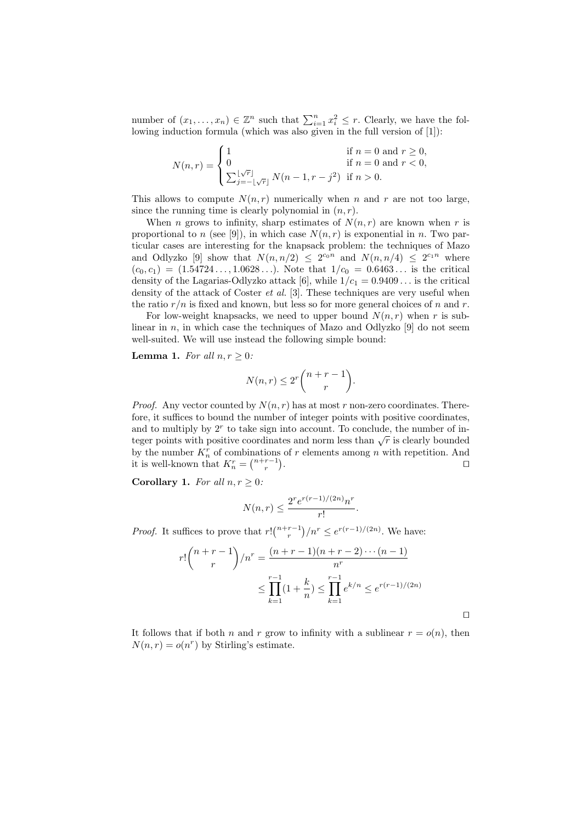number of  $(x_1, \ldots, x_n) \in \mathbb{Z}^n$  such that  $\sum_{i=1}^n x_i^2 \leq r$ . Clearly, we have the following induction formula (which was also given in the full version of [1]):

$$
N(n,r) = \begin{cases} 1 & \text{if } n = 0 \text{ and } r \ge 0, \\ 0 & \text{if } n = 0 \text{ and } r < 0, \\ \sum_{j=-\lfloor \sqrt{r} \rfloor}^{ \lfloor \sqrt{r} \rfloor} N(n-1, r-j^2) & \text{if } n > 0. \end{cases}
$$

This allows to compute  $N(n,r)$  numerically when n and r are not too large, since the running time is clearly polynomial in  $(n, r)$ .

When *n* grows to infinity, sharp estimates of  $N(n,r)$  are known when *r* is proportional to n (see [9]), in which case  $N(n,r)$  is exponential in n. Two particular cases are interesting for the knapsack problem: the techniques of Mazo and Odlyzko [9] show that  $N(n, n/2) \leq 2^{c_0 n}$  and  $N(n, n/4) \leq 2^{c_1 n}$  where  $(c_0, c_1) = (1.54724 \ldots, 1.0628 \ldots)$ . Note that  $1/c_0 = 0.6463 \ldots$  is the critical density of the Lagarias-Odlyzko attack [6], while  $1/c_1 = 0.9409...$  is the critical density of the attack of Coster et al. [3]. These techniques are very useful when the ratio  $r/n$  is fixed and known, but less so for more general choices of n and r.

For low-weight knapsacks, we need to upper bound  $N(n,r)$  when r is sublinear in  $n$ , in which case the techniques of Mazo and Odlyzko [9] do not seem well-suited. We will use instead the following simple bound:

**Lemma 1.** For all  $n, r \geq 0$ :

$$
N(n,r) \le 2^r \binom{n+r-1}{r}.
$$

*Proof.* Any vector counted by  $N(n, r)$  has at most r non-zero coordinates. Therefore, it suffices to bound the number of integer points with positive coordinates, and to multiply by  $2<sup>r</sup>$  to take sign into account. To conclude, the number of integer points with positive coordinates and norm less than  $\sqrt{r}$  is clearly bounded by the number  $K_n^r$  of combinations of r elements among n with repetition. And it is well-known that  $K_n^r = \binom{n+r-1}{r}$ . The contract of the contract of  $\Box$ 

Corollary 1. For all  $n, r > 0$ :

$$
N(n,r) \le \frac{2^r e^{r(r-1)/(2n)} n^r}{r!}.
$$

*Proof.* It suffices to prove that  $r! {n+r-1 \choose r} / n^r \leq e^{r(r-1)/(2n)}$ . We have:

$$
r! \binom{n+r-1}{r} / n^r = \frac{(n+r-1)(n+r-2)\cdots(n-1)}{n^r}
$$

$$
\leq \prod_{k=1}^{r-1} (1 + \frac{k}{n}) \leq \prod_{k=1}^{r-1} e^{k/n} \leq e^{r(r-1)/(2n)}
$$

 $\Box$ 

It follows that if both n and r grow to infinity with a sublinear  $r = o(n)$ , then  $N(n,r) = o(n^r)$  by Stirling's estimate.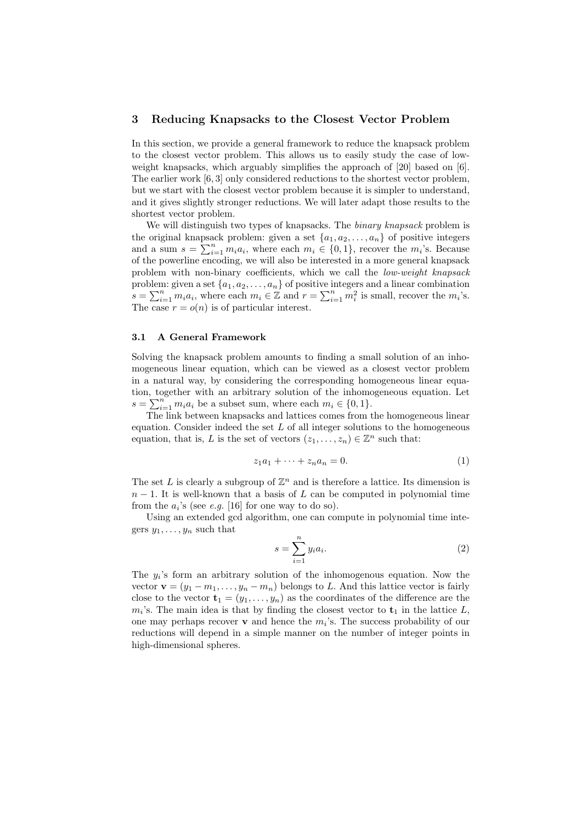# 3 Reducing Knapsacks to the Closest Vector Problem

In this section, we provide a general framework to reduce the knapsack problem to the closest vector problem. This allows us to easily study the case of lowweight knapsacks, which arguably simplifies the approach of [20] based on [6]. The earlier work [6, 3] only considered reductions to the shortest vector problem, but we start with the closest vector problem because it is simpler to understand, and it gives slightly stronger reductions. We will later adapt those results to the shortest vector problem.

We will distinguish two types of knapsacks. The *binary knapsack* problem is the original knapsack problem: given a set  $\{a_1, a_2, \ldots, a_n\}$  of positive integers and a sum  $s = \sum_{i=1}^{n} m_i a_i$ , where each  $m_i \in \{0, 1\}$ , recover the  $m_i$ 's. Because of the powerline encoding, we will also be interested in a more general knapsack problem with non-binary coefficients, which we call the low-weight knapsack problem: given a set  $\{a_1, a_2, \ldots, a_n\}$  of positive integers and a linear combination  $s = \sum_{i=1}^{n} m_i a_i$ , where each  $m_i \in \mathbb{Z}$  and  $r = \sum_{i=1}^{n} m_i^2$  is small, recover the  $m_i$ 's. The case  $r = o(n)$  is of particular interest.

### 3.1 A General Framework

Solving the knapsack problem amounts to finding a small solution of an inhomogeneous linear equation, which can be viewed as a closest vector problem in a natural way, by considering the corresponding homogeneous linear equation, together with an arbitrary solution of the inhomogeneous equation. Let  $s = \sum_{i=1}^{n} m_i a_i$  be a subset sum, where each  $m_i \in \{0, 1\}.$ 

The link between knapsacks and lattices comes from the homogeneous linear equation. Consider indeed the set  $L$  of all integer solutions to the homogeneous equation, that is, L is the set of vectors  $(z_1, \ldots, z_n) \in \mathbb{Z}^n$  such that:

$$
z_1 a_1 + \dots + z_n a_n = 0. \tag{1}
$$

The set L is clearly a subgroup of  $\mathbb{Z}^n$  and is therefore a lattice. Its dimension is  $n-1$ . It is well-known that a basis of L can be computed in polynomial time from the  $a_i$ 's (see *e.g.* [16] for one way to do so).

Using an extended gcd algorithm, one can compute in polynomial time integers  $y_1, \ldots, y_n$  such that

$$
s = \sum_{i=1}^{n} y_i a_i.
$$
 (2)

The  $y_i$ 's form an arbitrary solution of the inhomogenous equation. Now the vector  $\mathbf{v} = (y_1 - m_1, \dots, y_n - m_n)$  belongs to L. And this lattice vector is fairly close to the vector  $\mathbf{t}_1 = (y_1, \ldots, y_n)$  as the coordinates of the difference are the  $m_i$ 's. The main idea is that by finding the closest vector to  $t_1$  in the lattice L, one may perhaps recover  $\bf{v}$  and hence the  $m_i$ 's. The success probability of our reductions will depend in a simple manner on the number of integer points in high-dimensional spheres.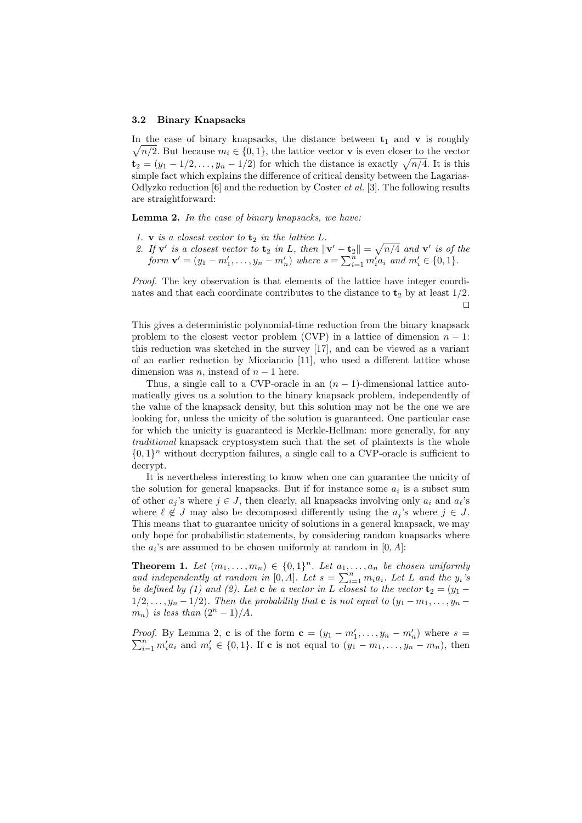#### 3.2 Binary Knapsacks

 $\sqrt{n/2}$ . But because  $m_i \in \{0, 1\}$ , the lattice vector **v** is even closer to the vector In the case of binary knapsacks, the distance between  $t_1$  and  $v$  is roughly  $\mathbf{t}_2 = (y_1 - 1/2, \dots, y_n - 1/2)$  for which the distance is exactly  $\sqrt{n/4}$ . It is this simple fact which explains the difference of critical density between the Lagarias-Odlyzko reduction  $[6]$  and the reduction by Coster  $et$  al.  $[3]$ . The following results are straightforward:

Lemma 2. In the case of binary knapsacks, we have:

- 1. **v** is a closest vector to  $t_2$  in the lattice  $L$ .
- 2. If  $\mathbf{v}'$  is a closest vector to  $\mathbf{t}_2$  in L, then  $\|\mathbf{v}' \mathbf{t}_2\| = \sqrt{n/4}$  and  $\mathbf{v}'$  is of the form  $\mathbf{v}' = (y_1 - m'_1, \dots, y_n - m'_n)$  where  $s = \sum_{i=1}^n m'_i a_i$  and  $m'_i \in \{0, 1\}.$

Proof. The key observation is that elements of the lattice have integer coordinates and that each coordinate contributes to the distance to  $t_2$  by at least  $1/2$ .  $\Box$ 

This gives a deterministic polynomial-time reduction from the binary knapsack problem to the closest vector problem (CVP) in a lattice of dimension  $n-1$ : this reduction was sketched in the survey [17], and can be viewed as a variant of an earlier reduction by Micciancio [11], who used a different lattice whose dimension was *n*, instead of  $n - 1$  here.

Thus, a single call to a CVP-oracle in an  $(n-1)$ -dimensional lattice automatically gives us a solution to the binary knapsack problem, independently of the value of the knapsack density, but this solution may not be the one we are looking for, unless the unicity of the solution is guaranteed. One particular case for which the unicity is guaranteed is Merkle-Hellman: more generally, for any traditional knapsack cryptosystem such that the set of plaintexts is the whole  $\{0,1\}^n$  without decryption failures, a single call to a CVP-oracle is sufficient to decrypt.

It is nevertheless interesting to know when one can guarantee the unicity of the solution for general knapsacks. But if for instance some  $a_i$  is a subset sum of other  $a_i$ 's where  $j \in J$ , then clearly, all knapsacks involving only  $a_i$  and  $a_\ell$ 's where  $\ell \notin J$  may also be decomposed differently using the  $a_j$ 's where  $j \in J$ . This means that to guarantee unicity of solutions in a general knapsack, we may only hope for probabilistic statements, by considering random knapsacks where the  $a_i$ 's are assumed to be chosen uniformly at random in  $[0, A]$ :

**Theorem 1.** Let  $(m_1, \ldots, m_n) \in \{0,1\}^n$ . Let  $a_1, \ldots, a_n$  be chosen uniformly and independently at random in [0, A]. Let  $s = \sum_{i=1}^{n} m_i a_i$ . Let L and the  $y_i$ 's be defined by (1) and (2). Let **c** be a vector in L closest to the vector  $\mathbf{t}_2 = (y_1 1/2, \ldots, y_n-1/2$ ). Then the probability that **c** is not equal to  $(y_1-m_1, \ldots, y_n-1)/2$  $m_n$ ) is less than  $(2^n - 1)/A$ .

*Proof.* By Lemma 2, c is of the form  $c = (y_1 - m'_1, \ldots, y_n - m'_n)$  where  $s =$ Proof. By Lemma 2, c is of the form  $c = (y_1 - m_1, \ldots, y_n - m_n)$  where  $s = \sum_{i=1}^n m_i' a_i$  and  $m_i' \in \{0,1\}$ . If c is not equal to  $(y_1 - m_1, \ldots, y_n - m_n)$ , then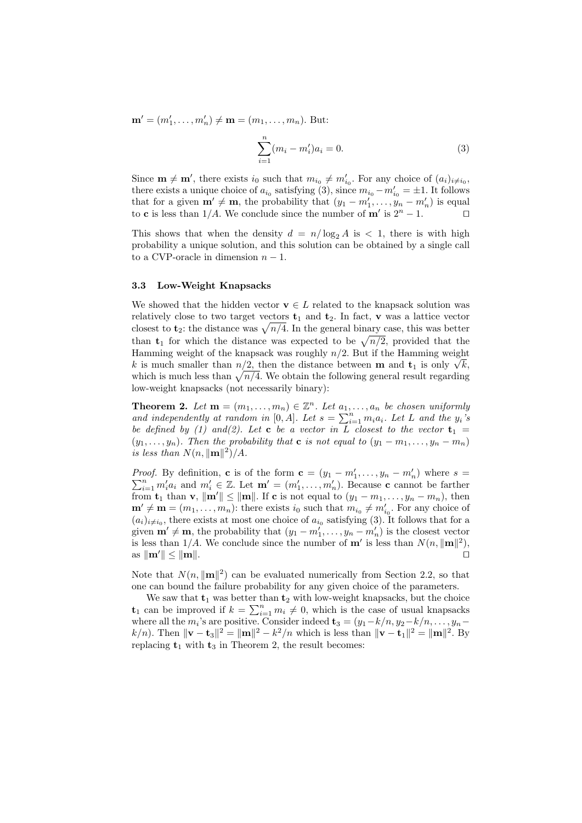${\bf m}' = (m'_1, \ldots, m'_n) \neq {\bf m} = (m_1, \ldots, m_n)$ . But:

$$
\sum_{i=1}^{n} (m_i - m'_i)a_i = 0.
$$
 (3)

Since  $\mathbf{m} \neq \mathbf{m}'$ , there exists  $i_0$  such that  $m_{i_0} \neq m'_{i_0}$ . For any choice of  $(a_i)_{i \neq i_0}$ , there exists a unique choice of  $a_{i_0}$  satisfying (3), since  $m_{i_0} - m'_{i_0} = \pm 1$ . It follows that for a given  $\mathbf{m}' \neq \mathbf{m}$ , the probability that  $(y_1 - m'_1, \ldots, y_n - m'_n)$  is equal to **c** is less than 1/A. We conclude since the number of **m'** is  $2^n - 1$ . □

This shows that when the density  $d = n/\log_2 A$  is  $\lt 1$ , there is with high probability a unique solution, and this solution can be obtained by a single call to a CVP-oracle in dimension  $n-1$ .

# 3.3 Low-Weight Knapsacks

We showed that the hidden vector  $\mathbf{v} \in L$  related to the knapsack solution was relatively close to two target vectors  $t_1$  and  $t_2$ . In fact, v was a lattice vector closest to  $t_2$ : the distance was  $\sqrt{n/4}$ . In the general binary case, this was better than  $t_1$  for which the distance was expected to be  $\sqrt{n/2}$ , provided that the Hamming weight of the knapsack was roughly  $n/2$ . But if the Hamming weight Hamming weight of the knapsack was roughly  $n/2$ . But if the Hamming weight k is much smaller than  $n/2$ , then the distance between **m** and  $\mathbf{t}_1$  is only  $\sqrt{k}$ , which is much less than  $\sqrt{n/4}$ . We obtain the following general result regarding low-weight knapsacks (not necessarily binary):

**Theorem 2.** Let  $\mathbf{m} = (m_1, \ldots, m_n) \in \mathbb{Z}^n$ . Let  $a_1, \ldots, a_n$  be chosen uniformly and independently at random in [0, A]. Let  $s = \sum_{i=1}^{n} m_i a_i$ . Let L and the  $y_i$ 's be defined by (1) and(2). Let **c** be a vector in L closest to the vector  $t_1$  =  $(y_1, \ldots, y_n)$ . Then the probability that **c** is not equal to  $(y_1 - m_1, \ldots, y_n - m_n)$ is less than  $N(n, ||\mathbf{m}||^2)/A$ .

*Proof.* By definition, **c** is of the form  $\mathbf{c} = (y_1 - m'_1, \dots, y_n - m'_n)$  where  $s =$ *Proof.* By definition, **c** is of the form  $c = (y_1 - m_1, \ldots, y_n - m_n)$  where  $s = \sum_{i=1}^n m_i' a_i$  and  $m_i' \in \mathbb{Z}$ . Let  $\mathbf{m}' = (m_1', \ldots, m_n')$ . Because **c** cannot be farther from  $\mathbf{t}_1$  than  $\mathbf{v}$ ,  $\|\mathbf{m}'\| \leq \|\mathbf{m}\|$ . If c is not equal to  $(y_1 - m_1, \ldots, y_n - m_n)$ , then  $\mathbf{m}' \neq \mathbf{m} = (m_1, \ldots, m_n)$ : there exists  $i_0$  such that  $m_{i_0} \neq m'_{i_0}$ . For any choice of  $(a_i)_{i\neq i_0}$ , there exists at most one choice of  $a_{i_0}$  satisfying (3). It follows that for a given  $\mathbf{m}' \neq \mathbf{m}$ , the probability that  $(y_1 - m'_1, \ldots, y_n - m'_n)$  is the closest vector is less than  $1/A$ . We conclude since the number of **m'** is less than  $N(n, ||\mathbf{m}||^2)$ , as  $\|\mathbf{m}'\| \leq \|\mathbf{m}\|$ .

Note that  $N(n, ||\mathbf{m}||^2)$  can be evaluated numerically from Section 2.2, so that one can bound the failure probability for any given choice of the parameters.

We saw that  $t_1$  was better than  $t_2$  with low-weight knapsacks, but the choice  $t_1$  can be improved if  $k = \sum_{i=1}^n m_i \neq 0$ , which is the case of usual knapsacks where all the  $m_i$ 's are positive. Consider indeed  $\mathbf{t}_3 = (y_1 - k/n, y_2 - k/n, \dots, y_n$  $k/n$ ). Then  $\|\mathbf{v} - \mathbf{t}_3\|^2 = \|\mathbf{m}\|^2 - k^2/n$  which is less than  $\|\mathbf{v} - \mathbf{t}_1\|^2 = \|\mathbf{m}\|^2$ . By replacing  $t_1$  with  $t_3$  in Theorem 2, the result becomes: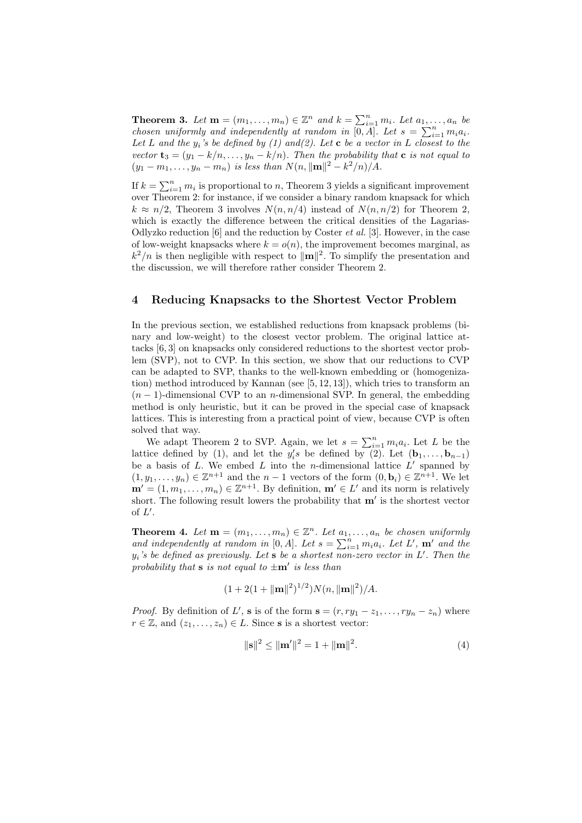**Theorem 3.** Let  $\mathbf{m} = (m_1, \ldots, m_n) \in \mathbb{Z}^n$  and  $k = \sum_{i=1}^n m_i$ . Let  $a_1, \ldots, a_n$  be chosen uniformly and independently at random in  $[0, A]$ . Let  $s = \sum_{i=1}^{n} m_i a_i$ . Let L and the  $y_i$ 's be defined by (1) and(2). Let **c** be a vector in L closest to the vector  $\mathbf{t}_3 = (y_1 - k/n, \ldots, y_n - k/n)$ . Then the probability that  $\mathbf{c}$  is not equal to  $(y_1 - m_1, \ldots, y_n - m_n)$  is less than  $N(n, ||\mathbf{m}||^2 - k^2/n)/A$ .

If  $k = \sum_{i=1}^{n} m_i$  is proportional to n, Theorem 3 yields a significant improvement over Theorem 2: for instance, if we consider a binary random knapsack for which  $k \approx n/2$ , Theorem 3 involves  $N(n, n/4)$  instead of  $N(n, n/2)$  for Theorem 2, which is exactly the difference between the critical densities of the Lagarias-Odlyzko reduction [6] and the reduction by Coster *et al.* [3]. However, in the case of low-weight knapsacks where  $k = o(n)$ , the improvement becomes marginal, as  $k^2/n$  is then negligible with respect to  $\|\mathbf{m}\|^2$ . To simplify the presentation and the discussion, we will therefore rather consider Theorem 2.

# 4 Reducing Knapsacks to the Shortest Vector Problem

In the previous section, we established reductions from knapsack problems (binary and low-weight) to the closest vector problem. The original lattice attacks [6, 3] on knapsacks only considered reductions to the shortest vector problem (SVP), not to CVP. In this section, we show that our reductions to CVP can be adapted to SVP, thanks to the well-known embedding or (homogenization) method introduced by Kannan (see [5, 12, 13]), which tries to transform an  $(n-1)$ -dimensional CVP to an *n*-dimensional SVP. In general, the embedding method is only heuristic, but it can be proved in the special case of knapsack lattices. This is interesting from a practical point of view, because CVP is often solved that way.

We adapt Theorem 2 to SVP. Again, we let  $s = \sum_{i=1}^n m_i a_i$ . Let L be the lattice defined by (1), and let the  $y_i$ 's be defined by (2). Let  $(\mathbf{b}_1, \ldots, \mathbf{b}_{n-1})$ be a basis of  $L$ . We embed  $L$  into the *n*-dimensional lattice  $L'$  spanned by  $(1, y_1, \ldots, y_n) \in \mathbb{Z}^{n+1}$  and the  $n-1$  vectors of the form  $(0, \mathbf{b}_i) \in \mathbb{Z}^{n+1}$ . We let  $\mathbf{m}' = (1, m_1, \dots, m_n) \in \mathbb{Z}^{n+1}$ . By definition,  $\mathbf{m}' \in L'$  and its norm is relatively short. The following result lowers the probability that  $m'$  is the shortest vector of  $L'$ .

**Theorem 4.** Let  $\mathbf{m} = (m_1, \ldots, m_n) \in \mathbb{Z}^n$ . Let  $a_1, \ldots, a_n$  be chosen uniformly and independently at random in [0, A]. Let  $s = \sum_{i=1}^{n} m_i a_i$ . Let  $L'$ ,  $m'$  and the  $y_i$ 's be defined as previously. Let s be a shortest non-zero vector in L'. Then the probability that **s** is not equal to  $\pm \mathbf{m}'$  is less than

$$
(1 + 2(1 + ||\mathbf{m}||^2)^{1/2})N(n, ||\mathbf{m}||^2)/A.
$$

*Proof.* By definition of L', **s** is of the form  $\mathbf{s} = (r, ry_1 - z_1, \dots, ry_n - z_n)$  where  $r \in \mathbb{Z}$ , and  $(z_1, \ldots, z_n) \in L$ . Since **s** is a shortest vector:

$$
\|\mathbf{s}\|^2 \le \|\mathbf{m}'\|^2 = 1 + \|\mathbf{m}\|^2. \tag{4}
$$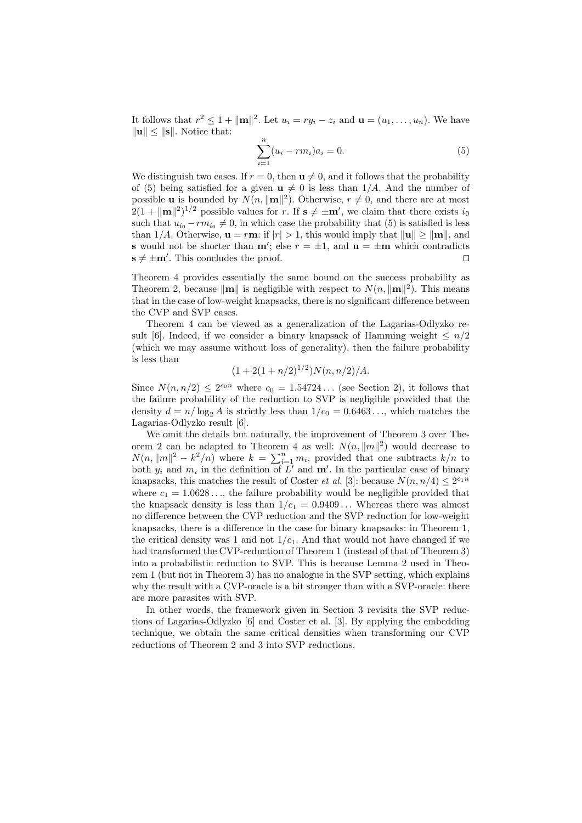It follows that  $r^2 \leq 1 + ||\mathbf{m}||^2$ . Let  $u_i = ry_i - z_i$  and  $\mathbf{u} = (u_1, \dots, u_n)$ . We have  $\|\mathbf{u}\| \leq \|\mathbf{s}\|$ . Notice that:

$$
\sum_{i=1}^{n} (u_i - rm_i)a_i = 0.
$$
 (5)

We distinguish two cases. If  $r = 0$ , then  $\mathbf{u} \neq 0$ , and it follows that the probability of (5) being satisfied for a given  $u \neq 0$  is less than 1/A. And the number of possible **u** is bounded by  $N(n, ||\mathbf{m}||^2)$ . Otherwise,  $r \neq 0$ , and there are at most  $2(1 + ||\mathbf{m}||^2)^{1/2}$  possible values for r. If  $\mathbf{s} \neq \pm \mathbf{m}'$ , we claim that there exists  $i_0$ such that  $u_{i_0} - rm_{i_0} \neq 0$ , in which case the probability that (5) is satisfied is less than 1/A. Otherwise,  $\mathbf{u} = r\mathbf{m}$ : if  $|r| > 1$ , this would imply that  $\|\mathbf{u}\| \geq \|\mathbf{m}\|$ , and **s** would not be shorter than  $\mathbf{m}'$ ; else  $r = \pm 1$ , and  $\mathbf{u} = \pm \mathbf{m}$  which contradicts  $\mathbf{s} \neq \pm \mathbf{m}'$ . This concludes the proof.

Theorem 4 provides essentially the same bound on the success probability as Theorem 2, because  $\|\mathbf{m}\|$  is negligible with respect to  $N(n, \|\mathbf{m}\|^2)$ . This means that in the case of low-weight knapsacks, there is no significant difference between the CVP and SVP cases.

Theorem 4 can be viewed as a generalization of the Lagarias-Odlyzko result [6]. Indeed, if we consider a binary knapsack of Hamming weight  $\leq n/2$ (which we may assume without loss of generality), then the failure probability is less than

$$
(1+2(1+n/2)^{1/2})N(n,n/2)/A.
$$

Since  $N(n, n/2) \leq 2^{c_0 n}$  where  $c_0 = 1.54724...$  (see Section 2), it follows that the failure probability of the reduction to SVP is negligible provided that the density  $d = n/\log_2 A$  is strictly less than  $1/c_0 = 0.6463...$ , which matches the Lagarias-Odlyzko result [6].

We omit the details but naturally, the improvement of Theorem 3 over Theorem 2 can be adapted to Theorem 4 as well:  $N(n, ||m||^2)$  would decrease to  $N(n, ||m||^2 - k^2/n)$  where  $k = \sum_{i=1}^n m_i$ , provided that one subtracts  $k/n$  to both  $y_i$  and  $m_i$  in the definition of  $\overline{L'}$  and  $\mathbf{m'}$ . In the particular case of binary knapsacks, this matches the result of Coster *et al.* [3]: because  $N(n, n/4) \leq 2^{c_1 n}$ where  $c_1 = 1.0628...$ , the failure probability would be negligible provided that the knapsack density is less than  $1/c_1 = 0.9409...$  Whereas there was almost no difference between the CVP reduction and the SVP reduction for low-weight knapsacks, there is a difference in the case for binary knapsacks: in Theorem 1, the critical density was 1 and not  $1/c<sub>1</sub>$ . And that would not have changed if we had transformed the CVP-reduction of Theorem 1 (instead of that of Theorem 3) into a probabilistic reduction to SVP. This is because Lemma 2 used in Theorem 1 (but not in Theorem 3) has no analogue in the SVP setting, which explains why the result with a CVP-oracle is a bit stronger than with a SVP-oracle: there are more parasites with SVP.

In other words, the framework given in Section 3 revisits the SVP reductions of Lagarias-Odlyzko [6] and Coster et al. [3]. By applying the embedding technique, we obtain the same critical densities when transforming our CVP reductions of Theorem 2 and 3 into SVP reductions.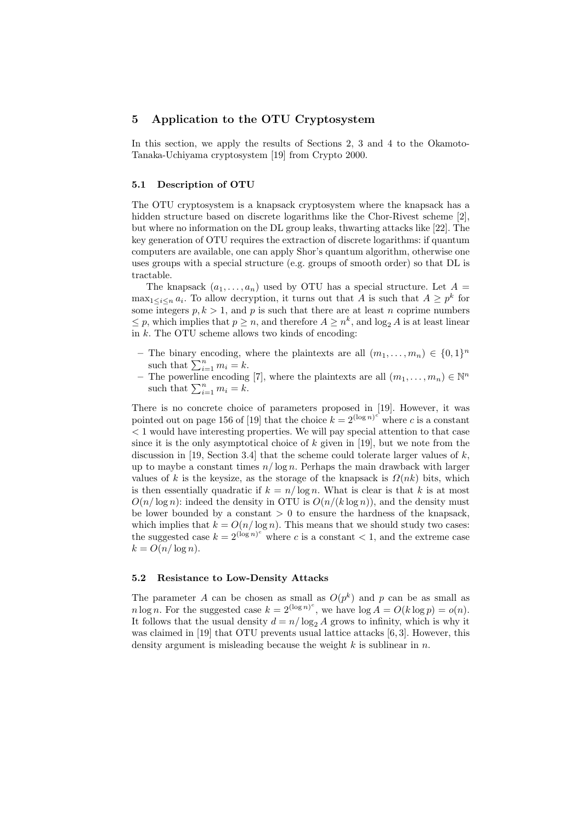# 5 Application to the OTU Cryptosystem

In this section, we apply the results of Sections 2, 3 and 4 to the Okamoto-Tanaka-Uchiyama cryptosystem [19] from Crypto 2000.

#### 5.1 Description of OTU

The OTU cryptosystem is a knapsack cryptosystem where the knapsack has a hidden structure based on discrete logarithms like the Chor-Rivest scheme [2], but where no information on the DL group leaks, thwarting attacks like [22]. The key generation of OTU requires the extraction of discrete logarithms: if quantum computers are available, one can apply Shor's quantum algorithm, otherwise one uses groups with a special structure (e.g. groups of smooth order) so that DL is tractable.

The knapsack  $(a_1, \ldots, a_n)$  used by OTU has a special structure. Let  $A =$  $\max_{1 \leq i \leq n} a_i$ . To allow decryption, it turns out that A is such that  $A \geq p^k$  for some integers  $p, k > 1$ , and p is such that there are at least n coprime numbers  $\leq p$ , which implies that  $p \geq n$ , and therefore  $A \geq n^k$ , and  $\log_2 A$  is at least linear in k. The OTU scheme allows two kinds of encoding:

- The binary encoding, where the plaintexts are all  $(m_1, \ldots, m_n) \in \{0, 1\}^n$ such that  $\sum_{i=1}^n m_i = k$ .
- The powerline encoding [7], where the plaintexts are all  $(m_1, \ldots, m_n) \in \mathbb{N}^n$ such that  $\sum_{i=1}^n m_i = k$ .

There is no concrete choice of parameters proposed in [19]. However, it was pointed out on page 156 of [19] that the choice  $k = 2^{(\log n)^c}$  where c is a constant < 1 would have interesting properties. We will pay special attention to that case since it is the only asymptotical choice of  $k$  given in [19], but we note from the discussion in [19, Section 3.4] that the scheme could tolerate larger values of  $k$ , up to maybe a constant times  $n/\log n$ . Perhaps the main drawback with larger values of k is the keysize, as the storage of the knapsack is  $\Omega(nk)$  bits, which is then essentially quadratic if  $k = n/\log n$ . What is clear is that k is at most  $O(n/\log n)$ : indeed the density in OTU is  $O(n/(k \log n))$ , and the density must be lower bounded by a constant  $> 0$  to ensure the hardness of the knapsack, which implies that  $k = O(n/\log n)$ . This means that we should study two cases: the suggested case  $k = 2^{(\log n)^c}$  where c is a constant < 1, and the extreme case  $k = O(n/\log n)$ .

#### 5.2 Resistance to Low-Density Attacks

The parameter A can be chosen as small as  $O(p^k)$  and p can be as small as *n* log *n*. For the suggested case  $k = 2^{(\log n)^c}$ , we have  $\log A = O(k \log p) = o(n)$ . It follows that the usual density  $d = n/\log_2 A$  grows to infinity, which is why it was claimed in [19] that OTU prevents usual lattice attacks [6, 3]. However, this density argument is misleading because the weight  $k$  is sublinear in  $n$ .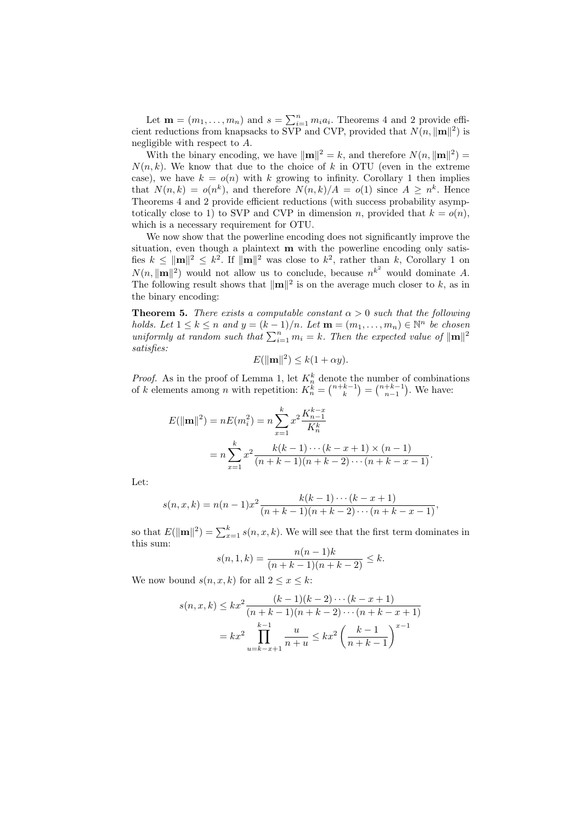Let  $\mathbf{m} = (m_1, \ldots, m_n)$  and  $s = \sum_{i=1}^n m_i a_i$ . Theorems 4 and 2 provide efficient reductions from knapsacks to SVP and CVP, provided that  $N(n, ||\mathbf{m}||^2)$  is negligible with respect to A.

With the binary encoding, we have  $\|\mathbf{m}\|^2 = k$ , and therefore  $N(n, \|\mathbf{m}\|^2) =$  $N(n, k)$ . We know that due to the choice of k in OTU (even in the extreme case), we have  $k = o(n)$  with k growing to infinity. Corollary 1 then implies that  $N(n,k) = o(n^k)$ , and therefore  $N(n,k)/A = o(1)$  since  $A \geq n^k$ . Hence Theorems 4 and 2 provide efficient reductions (with success probability asymptotically close to 1) to SVP and CVP in dimension n, provided that  $k = o(n)$ , which is a necessary requirement for OTU.

We now show that the powerline encoding does not significantly improve the situation, even though a plaintext m with the powerline encoding only satisfies  $k \leq ||\mathbf{m}||^2 \leq k^2$ . If  $||\mathbf{m}||^2$  was close to  $k^2$ , rather than k, Corollary 1 on  $N(n, ||\mathbf{m}||^2)$  would not allow us to conclude, because  $n^{k^2}$  would dominate A. The following result shows that  $\|\mathbf{m}\|^2$  is on the average much closer to k, as in the binary encoding:

**Theorem 5.** There exists a computable constant  $\alpha > 0$  such that the following holds. Let  $1 \leq k \leq n$  and  $y = (k-1)/n$ . Let  $\mathbf{m} = (m_1, \ldots, m_n) \in \mathbb{N}^n$  be chosen uniformly at random such that  $\sum_{i=1}^{n} m_i = k$ . Then the expected value of  $\|\mathbf{m}\|^2$ satisfies:

$$
E(\|\mathbf{m}\|^2) \le k(1 + \alpha y).
$$

*Proof.* As in the proof of Lemma 1, let  $K_n^k$  denote the number of combinations of k elements among n with repetition:  $K_n^{\tilde{k}} = \binom{n+k-1}{k} = \binom{n+k-1}{n-1}$ . We have:

$$
E(\|\mathbf{m}\|^2) = nE(m_i^2) = n\sum_{x=1}^k x^2 \frac{K_{n-1}^{k-x}}{K_n^k}
$$
  
= 
$$
n\sum_{x=1}^k x^2 \frac{k(k-1)\cdots(k-x+1)\times(n-1)}{(n+k-1)(n+k-2)\cdots(n+k-x-1)}.
$$

Let:

$$
s(n, x, k) = n(n - 1)x^{2} \frac{k(k - 1) \cdots (k - x + 1)}{(n + k - 1)(n + k - 2) \cdots (n + k - x - 1)},
$$

so that  $E(\|\mathbf{m}\|^2) = \sum_{x=1}^k s(n, x, k)$ . We will see that the first term dominates in this sum:

$$
s(n, 1, k) = \frac{n(n-1)k}{(n+k-1)(n+k-2)} \le k.
$$

We now bound  $s(n, x, k)$  for all  $2 \leq x \leq k$ :

$$
s(n, x, k) \le kx^2 \frac{(k-1)(k-2)\cdots(k-x+1)}{(n+k-1)(n+k-2)\cdots(n+k-x+1)}
$$
  
=  $kx^2 \prod_{u=k-x+1}^{k-1} \frac{u}{n+u} \le kx^2 \left(\frac{k-1}{n+k-1}\right)^{x-1}$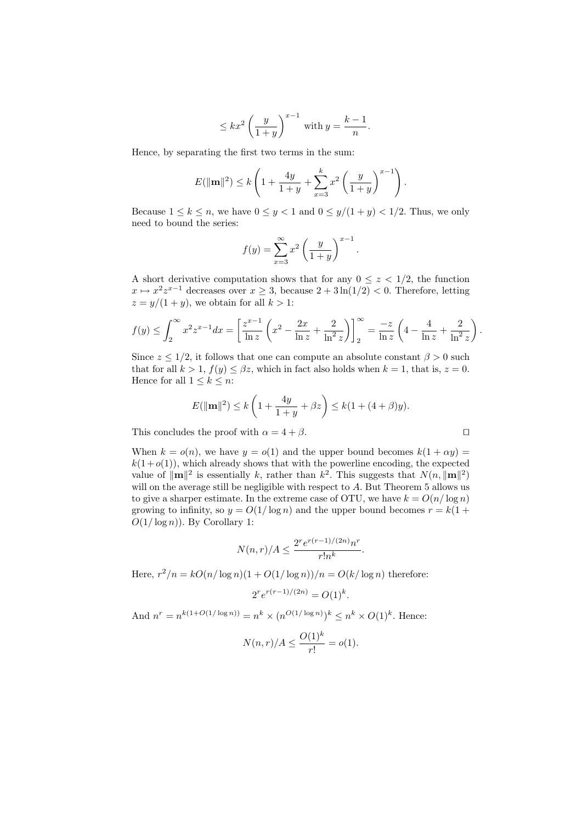$$
\leq kx^2 \left(\frac{y}{1+y}\right)^{x-1} \text{ with } y = \frac{k-1}{n}.
$$

Hence, by separating the first two terms in the sum:

$$
E(\|\mathbf{m}\|^2) \le k \left(1 + \frac{4y}{1+y} + \sum_{x=3}^k x^2 \left(\frac{y}{1+y}\right)^{x-1}\right).
$$

Because  $1 \leq k \leq n$ , we have  $0 \leq y < 1$  and  $0 \leq y/(1+y) < 1/2$ . Thus, we only need to bound the series:

$$
f(y) = \sum_{x=3}^{\infty} x^2 \left(\frac{y}{1+y}\right)^{x-1}.
$$

A short derivative computation shows that for any  $0 \leq z \leq 1/2$ , the function  $x \mapsto x^2 z^{x-1}$  decreases over  $x \geq 3$ , because  $2 + 3\ln(1/2) < 0$ . Therefore, letting  $z = y/(1 + y)$ , we obtain for all  $k > 1$ :

$$
f(y) \le \int_2^{\infty} x^2 z^{x-1} dx = \left[ \frac{z^{x-1}}{\ln z} \left( x^2 - \frac{2x}{\ln z} + \frac{2}{\ln^2 z} \right) \right]_2^{\infty} = \frac{-z}{\ln z} \left( 4 - \frac{4}{\ln z} + \frac{2}{\ln^2 z} \right).
$$

Since  $z \leq 1/2$ , it follows that one can compute an absolute constant  $\beta > 0$  such that for all  $k > 1$ ,  $f(y) \leq \beta z$ , which in fact also holds when  $k = 1$ , that is,  $z = 0$ . Hence for all  $1 \leq k \leq n$ :

$$
E(||\mathbf{m}||^2) \le k\left(1 + \frac{4y}{1+y} + \beta z\right) \le k(1 + (4+\beta)y).
$$

This concludes the proof with  $\alpha = 4 + \beta$ .

When  $k = o(n)$ , we have  $y = o(1)$  and the upper bound becomes  $k(1 + \alpha y) =$  $k(1+o(1))$ , which already shows that with the powerline encoding, the expected value of  $\|\mathbf{m}\|^2$  is essentially k, rather than  $k^2$ . This suggests that  $N(n, \|\mathbf{m}\|^2)$ will on the average still be negligible with respect to  $A$ . But Theorem  $5$  allows us to give a sharper estimate. In the extreme case of OTU, we have  $k = O(n/\log n)$ growing to infinity, so  $y = O(1/\log n)$  and the upper bound becomes  $r = k(1 +$  $O(1/\log n)$ ). By Corollary 1:

$$
N(n,r)/A \le \frac{2^r e^{r(r-1)/(2n)} n^r}{r! n^k}.
$$

Here,  $r^2/n = kO(n/\log n)(1+O(1/\log n))/n = O(k/\log n)$  therefore:

$$
2^r e^{r(r-1)/(2n)} = O(1)^k.
$$

And  $n^r = n^{k(1+O(1/\log n))} = n^k \times (n^{O(1/\log n)})^k \leq n^k \times O(1)^k$ . Hence:

$$
N(n,r)/A \le \frac{O(1)^k}{r!} = o(1).
$$

| ۰ |  |
|---|--|
|   |  |
|   |  |
|   |  |
|   |  |
|   |  |
|   |  |
|   |  |
|   |  |
|   |  |
|   |  |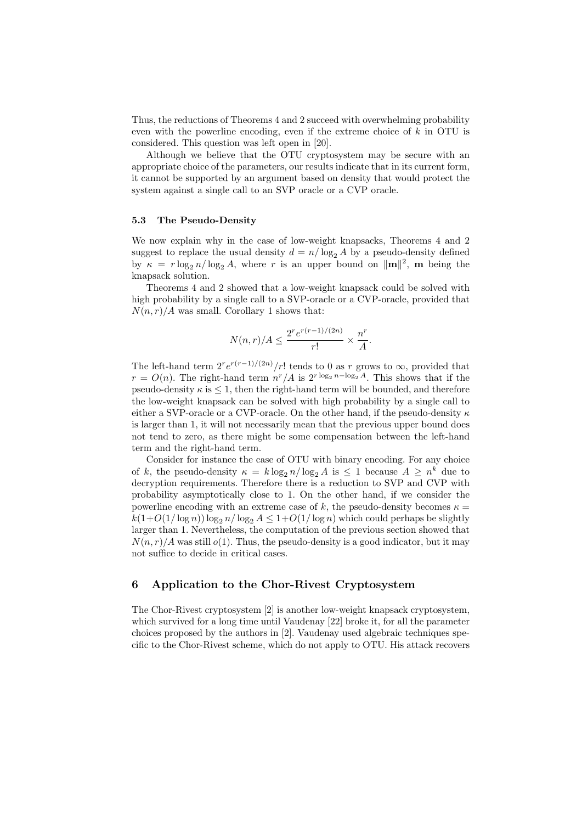Thus, the reductions of Theorems 4 and 2 succeed with overwhelming probability even with the powerline encoding, even if the extreme choice of  $k$  in OTU is considered. This question was left open in [20].

Although we believe that the OTU cryptosystem may be secure with an appropriate choice of the parameters, our results indicate that in its current form, it cannot be supported by an argument based on density that would protect the system against a single call to an SVP oracle or a CVP oracle.

#### 5.3 The Pseudo-Density

We now explain why in the case of low-weight knapsacks, Theorems 4 and 2 suggest to replace the usual density  $d = n/\log_2 A$  by a pseudo-density defined by  $\kappa = r \log_2 n / \log_2 A$ , where r is an upper bound on  $\|\mathbf{m}\|^2$ , m being the knapsack solution.

Theorems 4 and 2 showed that a low-weight knapsack could be solved with high probability by a single call to a SVP-oracle or a CVP-oracle, provided that  $N(n, r)/A$  was small. Corollary 1 shows that:

$$
N(n,r)/A \le \frac{2^r e^{r(r-1)/(2n)}}{r!} \times \frac{n^r}{A}.
$$

The left-hand term  $2^r e^{r(r-1)/(2n)}/r!$  tends to 0 as r grows to  $\infty$ , provided that  $r = O(n)$ . The right-hand term  $n^r/A$  is  $2^{r \log_2 n - \log_2 A}$ . This shows that if the pseudo-density  $\kappa$  is  $\leq$  1, then the right-hand term will be bounded, and therefore the low-weight knapsack can be solved with high probability by a single call to either a SVP-oracle or a CVP-oracle. On the other hand, if the pseudo-density  $\kappa$ is larger than 1, it will not necessarily mean that the previous upper bound does not tend to zero, as there might be some compensation between the left-hand term and the right-hand term.

Consider for instance the case of OTU with binary encoding. For any choice of k, the pseudo-density  $\kappa = k \log_2 n / \log_2 A$  is  $\leq 1$  because  $A \geq n^k$  due to decryption requirements. Therefore there is a reduction to SVP and CVP with probability asymptotically close to 1. On the other hand, if we consider the powerline encoding with an extreme case of k, the pseudo-density becomes  $\kappa =$  $k(1+O(1/\log n)) \log_2 n/\log_2 A \leq 1+O(1/\log n)$  which could perhaps be slightly larger than 1. Nevertheless, the computation of the previous section showed that  $N(n, r)/A$  was still  $o(1)$ . Thus, the pseudo-density is a good indicator, but it may not suffice to decide in critical cases.

# 6 Application to the Chor-Rivest Cryptosystem

The Chor-Rivest cryptosystem [2] is another low-weight knapsack cryptosystem, which survived for a long time until Vaudenay [22] broke it, for all the parameter choices proposed by the authors in [2]. Vaudenay used algebraic techniques specific to the Chor-Rivest scheme, which do not apply to OTU. His attack recovers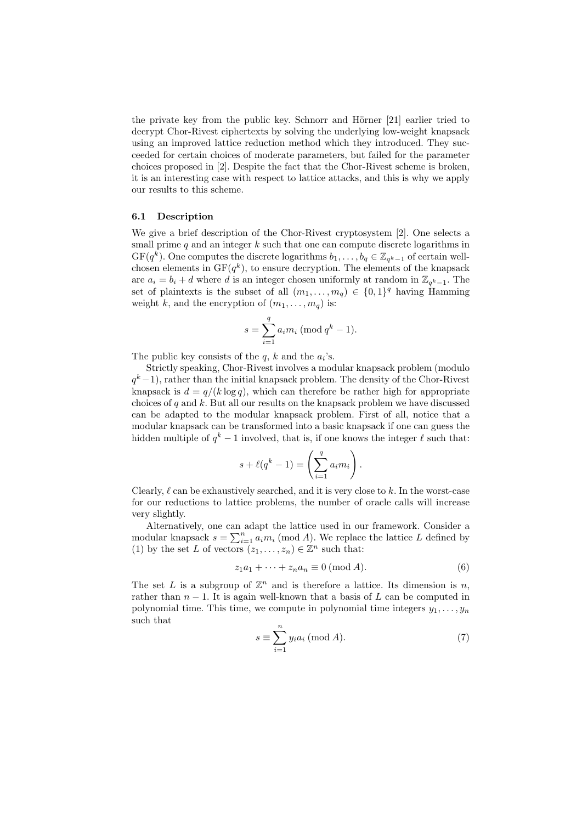the private key from the public key. Schnorr and Hörner  $[21]$  earlier tried to decrypt Chor-Rivest ciphertexts by solving the underlying low-weight knapsack using an improved lattice reduction method which they introduced. They succeeded for certain choices of moderate parameters, but failed for the parameter choices proposed in [2]. Despite the fact that the Chor-Rivest scheme is broken, it is an interesting case with respect to lattice attacks, and this is why we apply our results to this scheme.

#### 6.1 Description

We give a brief description of the Chor-Rivest cryptosystem [2]. One selects a small prime  $q$  and an integer  $k$  such that one can compute discrete logarithms in  $GF(q^k)$ . One computes the discrete logarithms  $b_1, \ldots, b_q \in \mathbb{Z}_{q^k-1}$  of certain wellchosen elements in  $GF(q^k)$ , to ensure decryption. The elements of the knapsack are  $a_i = b_i + d$  where d is an integer chosen uniformly at random in  $\mathbb{Z}_{q^k-1}$ . The set of plaintexts is the subset of all  $(m_1, \ldots, m_q) \in \{0,1\}^q$  having Hamming weight k, and the encryption of  $(m_1, \ldots, m_q)$  is:

$$
s = \sum_{i=1}^{q} a_i m_i \; (\text{mod } q^k - 1).
$$

The public key consists of the  $q$ ,  $k$  and the  $a_i$ 's.

Strictly speaking, Chor-Rivest involves a modular knapsack problem (modulo  $q<sup>k</sup> - 1$ , rather than the initial knapsack problem. The density of the Chor-Rivest knapsack is  $d = q/(k \log q)$ , which can therefore be rather high for appropriate choices of q and  $k$ . But all our results on the knapsack problem we have discussed can be adapted to the modular knapsack problem. First of all, notice that a modular knapsack can be transformed into a basic knapsack if one can guess the hidden multiple of  $q^k - 1$  involved, that is, if one knows the integer  $\ell$  such that:

$$
s + \ell(q^k - 1) = \left(\sum_{i=1}^q a_i m_i\right).
$$

Clearly,  $\ell$  can be exhaustively searched, and it is very close to k. In the worst-case for our reductions to lattice problems, the number of oracle calls will increase very slightly.

Alternatively, one can adapt the lattice used in our framework. Consider a modular knapsack  $s = \sum_{i=1}^{n} a_i m_i \pmod{A}$ . We replace the lattice L defined by (1) by the set L of vectors  $(z_1, \ldots, z_n) \in \mathbb{Z}^n$  such that:

$$
z_1 a_1 + \dots + z_n a_n \equiv 0 \text{ (mod } A). \tag{6}
$$

The set L is a subgroup of  $\mathbb{Z}^n$  and is therefore a lattice. Its dimension is n, rather than  $n-1$ . It is again well-known that a basis of L can be computed in polynomial time. This time, we compute in polynomial time integers  $y_1, \ldots, y_n$ such that

$$
s \equiv \sum_{i=1}^{n} y_i a_i \; (\text{mod } A). \tag{7}
$$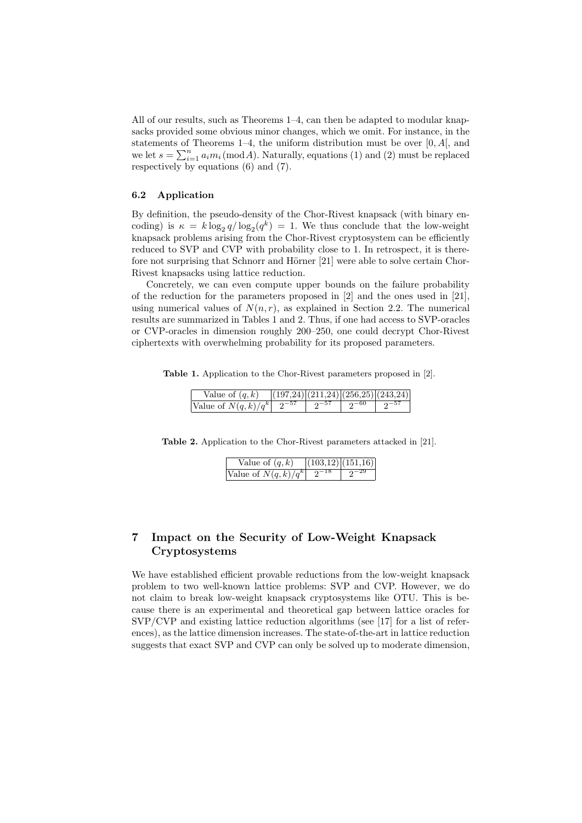All of our results, such as Theorems 1–4, can then be adapted to modular knapsacks provided some obvious minor changes, which we omit. For instance, in the statements of Theorems  $1-4$ , the uniform distribution must be over  $[0, A]$ , and we let  $s = \sum_{i=1}^{n} a_i m_i \pmod{A}$ . Naturally, equations (1) and (2) must be replaced respectively by equations (6) and (7).

# 6.2 Application

By definition, the pseudo-density of the Chor-Rivest knapsack (with binary encoding) is  $\kappa = k \log_2 q / \log_2(q^k) = 1$ . We thus conclude that the low-weight knapsack problems arising from the Chor-Rivest cryptosystem can be efficiently reduced to SVP and CVP with probability close to 1. In retrospect, it is therefore not surprising that Schnorr and Hörner [21] were able to solve certain Chor-Rivest knapsacks using lattice reduction.

Concretely, we can even compute upper bounds on the failure probability of the reduction for the parameters proposed in [2] and the ones used in [21], using numerical values of  $N(n, r)$ , as explained in Section 2.2. The numerical results are summarized in Tables 1 and 2. Thus, if one had access to SVP-oracles or CVP-oracles in dimension roughly 200–250, one could decrypt Chor-Rivest ciphertexts with overwhelming probability for its proposed parameters.

Table 1. Application to the Chor-Rivest parameters proposed in [2].

| Value of $(q, k)$ |  | (197,24) (211,24) (256,25) (243,24) |
|-------------------|--|-------------------------------------|
|                   |  |                                     |

Table 2. Application to the Chor-Rivest parameters attacked in [21].

| Value of $(q, k)$               | (103,12)(151,16) |
|---------------------------------|------------------|
| Value of $N(q,k)/q^k$ $2^{-18}$ | $2^{-29}$        |

# 7 Impact on the Security of Low-Weight Knapsack Cryptosystems

We have established efficient provable reductions from the low-weight knapsack problem to two well-known lattice problems: SVP and CVP. However, we do not claim to break low-weight knapsack cryptosystems like OTU. This is because there is an experimental and theoretical gap between lattice oracles for SVP/CVP and existing lattice reduction algorithms (see [17] for a list of references), as the lattice dimension increases. The state-of-the-art in lattice reduction suggests that exact SVP and CVP can only be solved up to moderate dimension,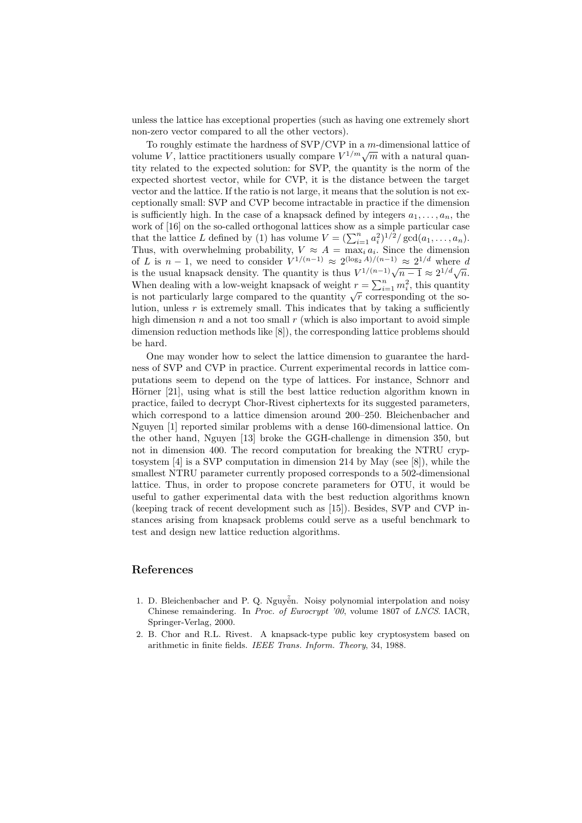unless the lattice has exceptional properties (such as having one extremely short non-zero vector compared to all the other vectors).

To roughly estimate the hardness of SVP/CVP in a m-dimensional lattice of To foughly estimate the naturess of  $SVT/CVF$  in a *m*-dimensional lattice of volume V, lattice practitioners usually compare  $V^{1/m}\sqrt{m}$  with a natural quantity related to the expected solution: for SVP, the quantity is the norm of the expected shortest vector, while for CVP, it is the distance between the target vector and the lattice. If the ratio is not large, it means that the solution is not exceptionally small: SVP and CVP become intractable in practice if the dimension is sufficiently high. In the case of a knapsack defined by integers  $a_1, \ldots, a_n$ , the work of [16] on the so-called orthogonal lattices show as a simple particular case that the lattice L defined by (1) has volume  $V = (\sum_{i=1}^n a_i^2)^{1/2} / \gcd(a_1, \ldots, a_n)$ . Thus, with overwhelming probability,  $V \approx A = \max_i a_i$ . Since the dimension of L is  $n-1$ , we need to consider  $V^{1/(n-1)} \approx 2^{(\log_2 A)/(n-1)} \approx 2^{1/d}$  where d of L is  $n-1$ , we need to consider  $\sqrt{v}$ ,  $\approx$  2.  $\sqrt{2}$ ,  $\sqrt{v}$ ,  $\approx$  2.<sup>1</sup> where  $u$  is the usual knapsack density. The quantity is thus  $V^{1/(n-1)}\sqrt{n-1} \approx 2^{1/d}\sqrt{n}$ . When dealing with a low-weight knapsack of weight  $r = \sum_{i=1}^{n} m_i^2$ , this quantity when dealing with a low-weight knapsack of weight  $i = \sum_{i=1}^{\infty} m_i$ , thus quantity is not particularly large compared to the quantity  $\sqrt{r}$  corresponding ot the solution, unless  $r$  is extremely small. This indicates that by taking a sufficiently high dimension  $n$  and a not too small  $r$  (which is also important to avoid simple dimension reduction methods like [8]), the corresponding lattice problems should be hard.

One may wonder how to select the lattice dimension to guarantee the hardness of SVP and CVP in practice. Current experimental records in lattice computations seem to depend on the type of lattices. For instance, Schnorr and Hörner [21], using what is still the best lattice reduction algorithm known in practice, failed to decrypt Chor-Rivest ciphertexts for its suggested parameters, which correspond to a lattice dimension around 200–250. Bleichenbacher and Nguyen [1] reported similar problems with a dense 160-dimensional lattice. On the other hand, Nguyen [13] broke the GGH-challenge in dimension 350, but not in dimension 400. The record computation for breaking the NTRU cryptosystem [4] is a SVP computation in dimension 214 by May (see [8]), while the smallest NTRU parameter currently proposed corresponds to a 502-dimensional lattice. Thus, in order to propose concrete parameters for OTU, it would be useful to gather experimental data with the best reduction algorithms known (keeping track of recent development such as [15]). Besides, SVP and CVP instances arising from knapsack problems could serve as a useful benchmark to test and design new lattice reduction algorithms.

# References

- 1. D. Bleichenbacher and P. Q. Nguyễn. Noisy polynomial interpolation and noisy Chinese remaindering. In Proc. of Eurocrypt '00, volume 1807 of LNCS. IACR, Springer-Verlag, 2000.
- 2. B. Chor and R.L. Rivest. A knapsack-type public key cryptosystem based on arithmetic in finite fields. IEEE Trans. Inform. Theory, 34, 1988.